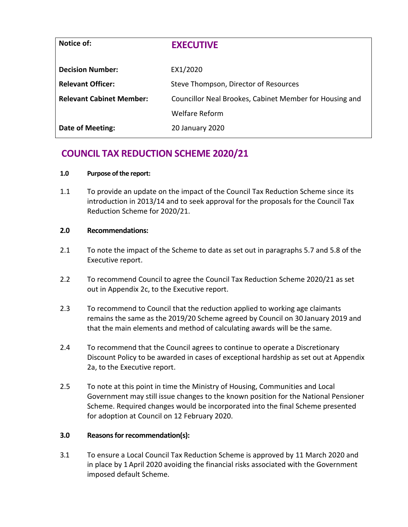| Notice of:                      | <b>EXECUTIVE</b>                                        |
|---------------------------------|---------------------------------------------------------|
| <b>Decision Number:</b>         | EX1/2020                                                |
| <b>Relevant Officer:</b>        | Steve Thompson, Director of Resources                   |
| <b>Relevant Cabinet Member:</b> | Councillor Neal Brookes, Cabinet Member for Housing and |
|                                 | <b>Welfare Reform</b>                                   |
| Date of Meeting:                | 20 January 2020                                         |

# **COUNCIL TAX REDUCTION SCHEME 2020/21**

## **1.0 Purpose of the report:**

1.1 To provide an update on the impact of the Council Tax Reduction Scheme since its introduction in 2013/14 and to seek approval for the proposals for the Council Tax Reduction Scheme for 2020/21.

## **2.0 Recommendations:**

- 2.1 To note the impact of the Scheme to date as set out in paragraphs 5.7 and 5.8 of the Executive report.
- 2.2 To recommend Council to agree the Council Tax Reduction Scheme 2020/21 as set out in Appendix 2c, to the Executive report.
- 2.3 To recommend to Council that the reduction applied to working age claimants remains the same as the 2019/20 Scheme agreed by Council on 30 January 2019 and that the main elements and method of calculating awards will be the same.
- 2.4 To recommend that the Council agrees to continue to operate a Discretionary Discount Policy to be awarded in cases of exceptional hardship as set out at Appendix 2a, to the Executive report.
- 2.5 To note at this point in time the Ministry of Housing, Communities and Local Government may still issue changes to the known position for the National Pensioner Scheme. Required changes would be incorporated into the final Scheme presented for adoption at Council on 12 February 2020.

# **3.0 Reasons for recommendation(s):**

3.1 To ensure a Local Council Tax Reduction Scheme is approved by 11 March 2020 and in place by 1 April 2020 avoiding the financial risks associated with the Government imposed default Scheme.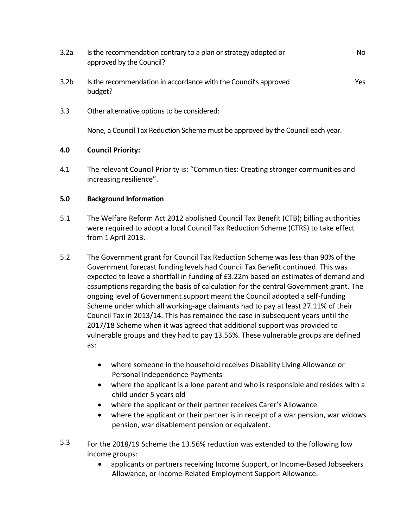- 3.2a Is the recommendation contrary to a plan or strategy adopted or approved by the Council? No
- 3.2b Is the recommendation in accordance with the Council's approved budget? Yes
- 3.3 Other alternative options to be considered:

None, a Council Tax Reduction Scheme must be approved by the Council each year.

# **4.0 Council Priority:**

4.1 The relevant Council Priority is: "Communities: Creating stronger communities and increasing resilience".

## **5.0 Background Information**

- 5.1 The Welfare Reform Act 2012 abolished Council Tax Benefit (CTB); billing authorities were required to adopt a local Council Tax Reduction Scheme (CTRS) to take effect from 1 April 2013.
- 5.2 The Government grant for Council Tax Reduction Scheme was less than 90% of the Government forecast funding levels had Council Tax Benefit continued. This was expected to leave a shortfall in funding of £3.22m based on estimates of demand and assumptions regarding the basis of calculation for the central Government grant. The ongoing level of Government support meant the Council adopted a self-funding Scheme under which all working-age claimants had to pay at least 27.11% of their Council Tax in 2013/14. This has remained the case in subsequent years until the 2017/18 Scheme when it was agreed that additional support was provided to vulnerable groups and they had to pay 13.56%. These vulnerable groups are defined as:
	- where someone in the household receives Disability Living Allowance or Personal Independence Payments
	- where the applicant is a lone parent and who is responsible and resides with a child under 5 years old
	- where the applicant or their partner receives Carer's Allowance
	- where the applicant or their partner is in receipt of a war pension, war widows pension, war disablement pension or equivalent.
- 5.3 For the 2018/19 Scheme the 13.56% reduction was extended to the following low income groups:
	- applicants or partners receiving Income Support, or Income-Based Jobseekers Allowance, or Income-Related Employment Support Allowance.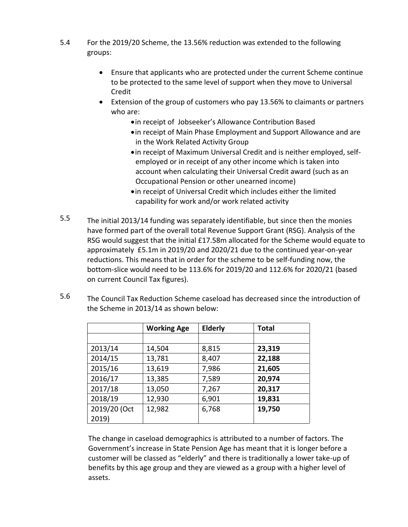- 5.4 For the 2019/20 Scheme, the 13.56% reduction was extended to the following groups:
	- Ensure that applicants who are protected under the current Scheme continue to be protected to the same level of support when they move to Universal Credit
	- Extension of the group of customers who pay 13.56% to claimants or partners who are:
		- in receipt of Jobseeker's Allowance Contribution Based
		- in receipt of Main Phase Employment and Support Allowance and are in the Work Related Activity Group
		- in receipt of Maximum Universal Credit and is neither employed, selfemployed or in receipt of any other income which is taken into account when calculating their Universal Credit award (such as an Occupational Pension or other unearned income)
		- in receipt of Universal Credit which includes either the limited capability for work and/or work related activity
- 5.5 The initial 2013/14 funding was separately identifiable, but since then the monies have formed part of the overall total Revenue Support Grant (RSG). Analysis of the RSG would suggest that the initial £17.58m allocated for the Scheme would equate to approximately £5.1m in 2019/20 and 2020/21 due to the continued year-on-year reductions. This means that in order for the scheme to be self-funding now, the bottom-slice would need to be 113.6% for 2019/20 and 112.6% for 2020/21 (based on current Council Tax figures).
- 5.6 The Council Tax Reduction Scheme caseload has decreased since the introduction of the Scheme in 2013/14 as shown below:

|              | <b>Working Age</b> | <b>Elderly</b> | <b>Total</b> |
|--------------|--------------------|----------------|--------------|
|              |                    |                |              |
| 2013/14      | 14,504             | 8,815          | 23,319       |
| 2014/15      | 13,781             | 8,407          | 22,188       |
| 2015/16      | 13,619             | 7,986          | 21,605       |
| 2016/17      | 13,385             | 7,589          | 20,974       |
| 2017/18      | 13,050             | 7,267          | 20,317       |
| 2018/19      | 12,930             | 6,901          | 19,831       |
| 2019/20 (Oct | 12,982             | 6,768          | 19,750       |
| 2019)        |                    |                |              |

The change in caseload demographics is attributed to a number of factors. The Government's increase in State Pension Age has meant that it is longer before a customer will be classed as "elderly" and there is traditionally a lower take-up of benefits by this age group and they are viewed as a group with a higher level of assets.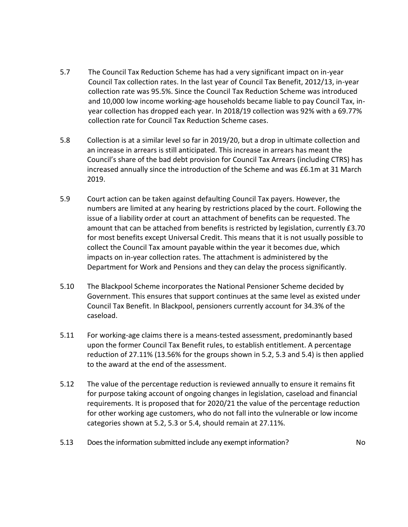- 5.7 The Council Tax Reduction Scheme has had a very significant impact on in-year Council Tax collection rates. In the last year of Council Tax Benefit, 2012/13, in-year collection rate was 95.5%. Since the Council Tax Reduction Scheme was introduced and 10,000 low income working-age households became liable to pay Council Tax, inyear collection has dropped each year. In 2018/19 collection was 92% with a 69.77% collection rate for Council Tax Reduction Scheme cases.
- 5.8 Collection is at a similar level so far in 2019/20, but a drop in ultimate collection and an increase in arrears is still anticipated. This increase in arrears has meant the Council's share of the bad debt provision for Council Tax Arrears (including CTRS) has increased annually since the introduction of the Scheme and was £6.1m at 31 March 2019.
- 5.9 Court action can be taken against defaulting Council Tax payers. However, the numbers are limited at any hearing by restrictions placed by the court. Following the issue of a liability order at court an attachment of benefits can be requested. The amount that can be attached from benefits is restricted by legislation, currently £3.70 for most benefits except Universal Credit. This means that it is not usually possible to collect the Council Tax amount payable within the year it becomes due, which impacts on in-year collection rates. The attachment is administered by the Department for Work and Pensions and they can delay the process significantly.
- 5.10 The Blackpool Scheme incorporates the National Pensioner Scheme decided by Government. This ensures that support continues at the same level as existed under Council Tax Benefit. In Blackpool, pensioners currently account for 34.3% of the caseload.
- 5.11 For working-age claims there is a means-tested assessment, predominantly based upon the former Council Tax Benefit rules, to establish entitlement. A percentage reduction of 27.11% (13.56% for the groups shown in 5.2, 5.3 and 5.4) is then applied to the award at the end of the assessment.
- 5.12 The value of the percentage reduction is reviewed annually to ensure it remains fit for purpose taking account of ongoing changes in legislation, caseload and financial requirements. It is proposed that for 2020/21 the value of the percentage reduction for other working age customers, who do not fall into the vulnerable or low income categories shown at 5.2, 5.3 or 5.4, should remain at 27.11%.
- 5.13 Does the information submitted include any exempt information? No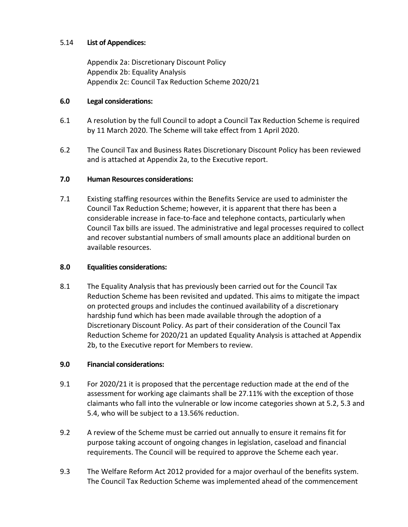# 5.14 **List of Appendices:**

Appendix 2a: Discretionary Discount Policy Appendix 2b: Equality Analysis Appendix 2c: Council Tax Reduction Scheme 2020/21

## **6.0 Legal considerations:**

- 6.1 A resolution by the full Council to adopt a Council Tax Reduction Scheme is required by 11 March 2020. The Scheme will take effect from 1 April 2020.
- 6.2 The Council Tax and Business Rates Discretionary Discount Policy has been reviewed and is attached at Appendix 2a, to the Executive report.

# **7.0 Human Resources considerations:**

7.1 Existing staffing resources within the Benefits Service are used to administer the Council Tax Reduction Scheme; however, it is apparent that there has been a considerable increase in face-to-face and telephone contacts, particularly when Council Tax bills are issued. The administrative and legal processes required to collect and recover substantial numbers of small amounts place an additional burden on available resources.

# **8.0 Equalities considerations:**

8.1 The Equality Analysis that has previously been carried out for the Council Tax Reduction Scheme has been revisited and updated. This aims to mitigate the impact on protected groups and includes the continued availability of a discretionary hardship fund which has been made available through the adoption of a Discretionary Discount Policy. As part of their consideration of the Council Tax Reduction Scheme for 2020/21 an updated Equality Analysis is attached at Appendix 2b, to the Executive report for Members to review.

# **9.0 Financial considerations:**

- 9.1 For 2020/21 it is proposed that the percentage reduction made at the end of the assessment for working age claimants shall be 27.11% with the exception of those claimants who fall into the vulnerable or low income categories shown at 5.2, 5.3 and 5.4, who will be subject to a 13.56% reduction.
- 9.2 A review of the Scheme must be carried out annually to ensure it remains fit for purpose taking account of ongoing changes in legislation, caseload and financial requirements. The Council will be required to approve the Scheme each year.
- 9.3 The Welfare Reform Act 2012 provided for a major overhaul of the benefits system. The Council Tax Reduction Scheme was implemented ahead of the commencement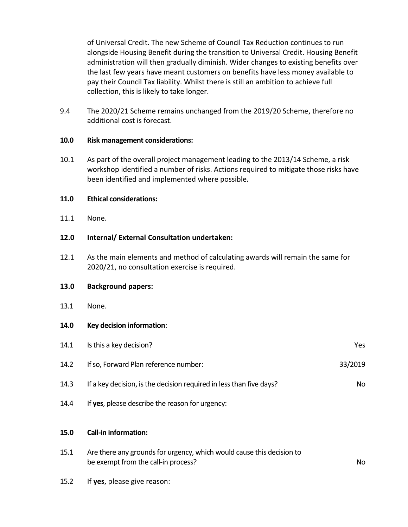of Universal Credit. The new Scheme of Council Tax Reduction continues to run alongside Housing Benefit during the transition to Universal Credit. Housing Benefit administration will then gradually diminish. Wider changes to existing benefits over the last few years have meant customers on benefits have less money available to pay their Council Tax liability. Whilst there is still an ambition to achieve full collection, this is likely to take longer.

9.4 The 2020/21 Scheme remains unchanged from the 2019/20 Scheme, therefore no additional cost is forecast.

#### **10.0 Risk management considerations:**

10.1 As part of the overall project management leading to the 2013/14 Scheme, a risk workshop identified a number of risks. Actions required to mitigate those risks have been identified and implemented where possible.

#### **11.0 Ethical considerations:**

11.1 None.

## **12.0 Internal/ External Consultation undertaken:**

12.1 As the main elements and method of calculating awards will remain the same for 2020/21, no consultation exercise is required.

#### **13.0 Background papers:**

13.1 None.

## **14.0 Key decision information**:

| 14.1 | Is this a key decision?                                                                                      | Yes.    |
|------|--------------------------------------------------------------------------------------------------------------|---------|
| 14.2 | If so, Forward Plan reference number:                                                                        | 33/2019 |
| 14.3 | If a key decision, is the decision required in less than five days?                                          | No      |
| 14.4 | If yes, please describe the reason for urgency:                                                              |         |
| 15.0 | <b>Call-in information:</b>                                                                                  |         |
| 15.1 | Are there any grounds for urgency, which would cause this decision to<br>be exempt from the call-in process? | No.     |

15.2 If **yes**, please give reason: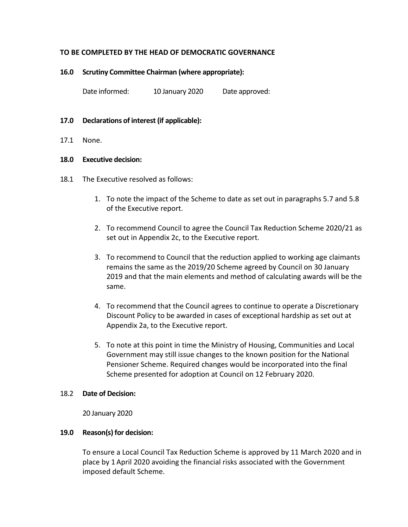## **TO BE COMPLETED BY THE HEAD OF DEMOCRATIC GOVERNANCE**

#### **16.0 Scrutiny Committee Chairman (where appropriate):**

Date informed: 10 January 2020 Date approved:

#### **17.0 Declarations of interest (if applicable):**

17.1 None.

#### **18.0 Executive decision:**

- 18.1 The Executive resolved as follows:
	- 1. To note the impact of the Scheme to date as set out in paragraphs 5.7 and 5.8 of the Executive report.
	- 2. To recommend Council to agree the Council Tax Reduction Scheme 2020/21 as set out in Appendix 2c, to the Executive report.
	- 3. To recommend to Council that the reduction applied to working age claimants remains the same as the 2019/20 Scheme agreed by Council on 30 January 2019 and that the main elements and method of calculating awards will be the same.
	- 4. To recommend that the Council agrees to continue to operate a Discretionary Discount Policy to be awarded in cases of exceptional hardship as set out at Appendix 2a, to the Executive report.
	- 5. To note at this point in time the Ministry of Housing, Communities and Local Government may still issue changes to the known position for the National Pensioner Scheme. Required changes would be incorporated into the final Scheme presented for adoption at Council on 12 February 2020.

#### 18.2 **Date of Decision:**

20 January 2020

#### **19.0 Reason(s) for decision:**

To ensure a Local Council Tax Reduction Scheme is approved by 11 March 2020 and in place by 1 April 2020 avoiding the financial risks associated with the Government imposed default Scheme.